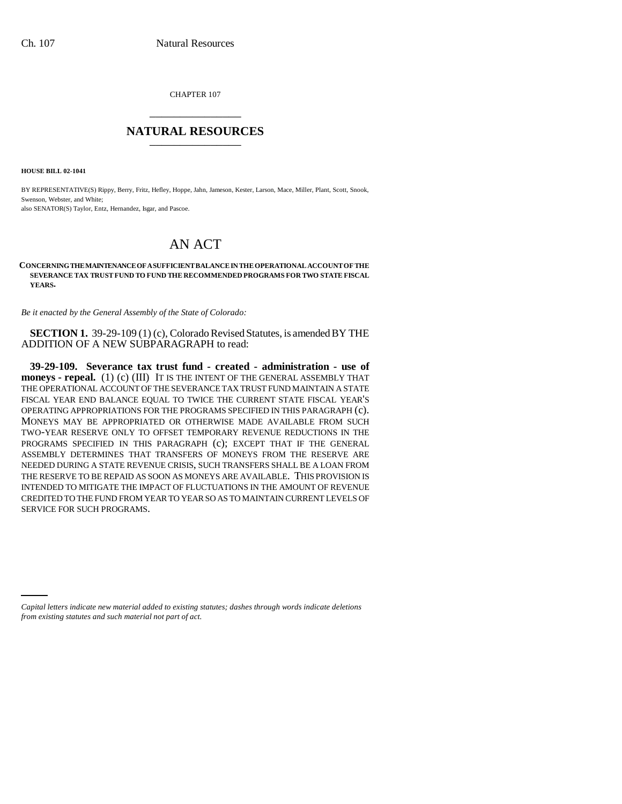CHAPTER 107 \_\_\_\_\_\_\_\_\_\_\_\_\_\_\_

## **NATURAL RESOURCES** \_\_\_\_\_\_\_\_\_\_\_\_\_\_\_

**HOUSE BILL 02-1041**

BY REPRESENTATIVE(S) Rippy, Berry, Fritz, Hefley, Hoppe, Jahn, Jameson, Kester, Larson, Mace, Miller, Plant, Scott, Snook, Swenson, Webster, and White: also SENATOR(S) Taylor, Entz, Hernandez, Isgar, and Pascoe.

## AN ACT

**CONCERNING THE MAINTENANCE OF A SUFFICIENT BALANCE IN THE OPERATIONAL ACCOUNT OF THE SEVERANCE TAX TRUST FUND TO FUND THE RECOMMENDED PROGRAMS FOR TWO STATE FISCAL YEARS.**

*Be it enacted by the General Assembly of the State of Colorado:*

**SECTION 1.** 39-29-109 (1) (c), Colorado Revised Statutes, is amended BY THE ADDITION OF A NEW SUBPARAGRAPH to read:

**39-29-109. Severance tax trust fund - created - administration - use of moneys - repeal.** (1) (c) (III) IT IS THE INTENT OF THE GENERAL ASSEMBLY THAT THE OPERATIONAL ACCOUNT OF THE SEVERANCE TAX TRUST FUND MAINTAIN A STATE FISCAL YEAR END BALANCE EQUAL TO TWICE THE CURRENT STATE FISCAL YEAR'S OPERATING APPROPRIATIONS FOR THE PROGRAMS SPECIFIED IN THIS PARAGRAPH (c). MONEYS MAY BE APPROPRIATED OR OTHERWISE MADE AVAILABLE FROM SUCH TWO-YEAR RESERVE ONLY TO OFFSET TEMPORARY REVENUE REDUCTIONS IN THE PROGRAMS SPECIFIED IN THIS PARAGRAPH (c); EXCEPT THAT IF THE GENERAL ASSEMBLY DETERMINES THAT TRANSFERS OF MONEYS FROM THE RESERVE ARE NEEDED DURING A STATE REVENUE CRISIS, SUCH TRANSFERS SHALL BE A LOAN FROM THE RESERVE TO BE REPAID AS SOON AS MONEYS ARE AVAILABLE. THIS PROVISION IS INTENDED TO MITIGATE THE IMPACT OF FLUCTUATIONS IN THE AMOUNT OF REVENUE CREDITED TO THE FUND FROM YEAR TO YEAR SO AS TO MAINTAIN CURRENT LEVELS OF SERVICE FOR SUCH PROGRAMS.

*Capital letters indicate new material added to existing statutes; dashes through words indicate deletions from existing statutes and such material not part of act.*